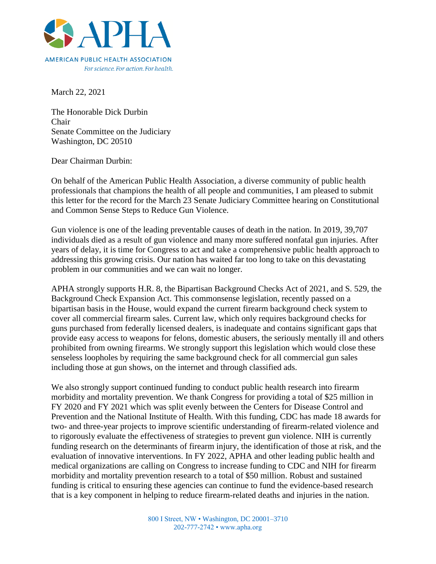

For science, For action, For health,

March 22, 2021

The Honorable Dick Durbin Chair Senate Committee on the Judiciary Washington, DC 20510

Dear Chairman Durbin:

On behalf of the American Public Health Association, a diverse community of public health professionals that champions the health of all people and communities, I am pleased to submit this letter for the record for the March 23 Senate Judiciary Committee hearing on Constitutional and Common Sense Steps to Reduce Gun Violence.

Gun violence is one of the leading preventable causes of death in the nation. In 2019, 39,707 individuals died as a result of gun violence and many more suffered nonfatal gun injuries. After years of delay, it is time for Congress to act and take a comprehensive public health approach to addressing this growing crisis. Our nation has waited far too long to take on this devastating problem in our communities and we can wait no longer.

APHA strongly supports H.R. 8, the Bipartisan Background Checks Act of 2021, and S. 529, the Background Check Expansion Act. This commonsense legislation, recently passed on a bipartisan basis in the House, would expand the current firearm background check system to cover all commercial firearm sales. Current law, which only requires background checks for guns purchased from federally licensed dealers, is inadequate and contains significant gaps that provide easy access to weapons for felons, domestic abusers, the seriously mentally ill and others prohibited from owning firearms. We strongly support this legislation which would close these senseless loopholes by requiring the same background check for all commercial gun sales including those at gun shows, on the internet and through classified ads.

We also strongly support continued funding to conduct public health research into firearm morbidity and mortality prevention. We thank Congress for providing a total of \$25 million in FY 2020 and FY 2021 which was split evenly between the Centers for Disease Control and Prevention and the National Institute of Health. With this funding, CDC has made 18 awards for two- and three-year projects to improve scientific understanding of firearm-related violence and to rigorously evaluate the effectiveness of strategies to prevent gun violence. NIH is currently funding research on the determinants of firearm injury, the identification of those at risk, and the evaluation of innovative interventions. In FY 2022, APHA and other leading public health and medical organizations are calling on Congress to increase funding to CDC and NIH for firearm morbidity and mortality prevention research to a total of \$50 million. Robust and sustained funding is critical to ensuring these agencies can continue to fund the evidence-based research that is a key component in helping to reduce firearm-related deaths and injuries in the nation.